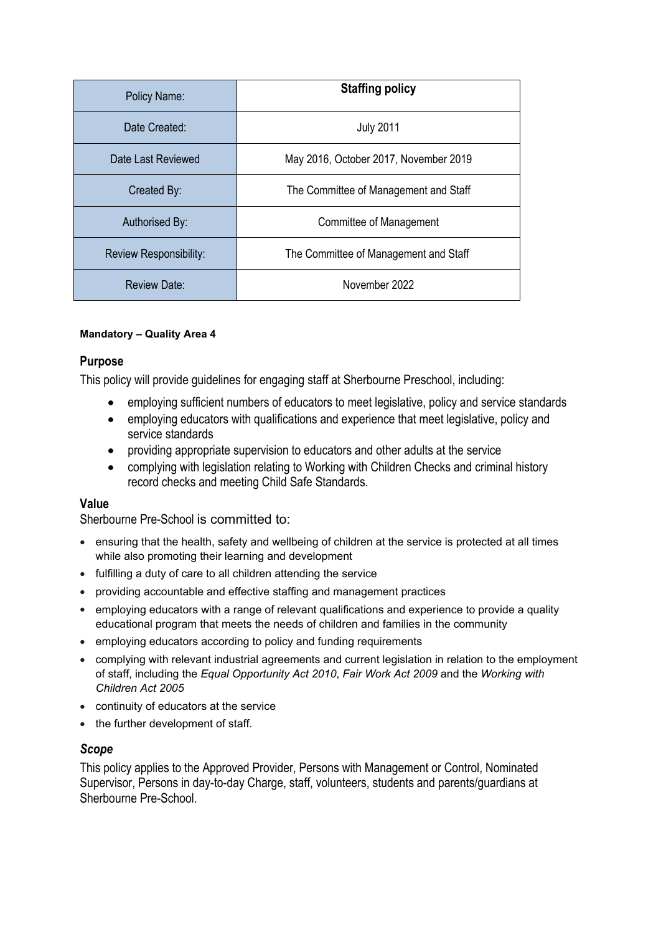| Policy Name:                  | <b>Staffing policy</b>                |
|-------------------------------|---------------------------------------|
| Date Created:                 | <b>July 2011</b>                      |
| Date Last Reviewed            | May 2016, October 2017, November 2019 |
| Created By:                   | The Committee of Management and Staff |
| Authorised By:                | Committee of Management               |
| <b>Review Responsibility:</b> | The Committee of Management and Staff |
| <b>Review Date:</b>           | November 2022                         |

#### **Mandatory – Quality Area 4**

### **Purpose**

This policy will provide guidelines for engaging staff at Sherbourne Preschool, including:

- employing sufficient numbers of educators to meet legislative, policy and service standards
- employing educators with qualifications and experience that meet legislative, policy and service standards
- providing appropriate supervision to educators and other adults at the service
- complying with legislation relating to Working with Children Checks and criminal history record checks and meeting Child Safe Standards.

#### **Value**

Sherbourne Pre-School is committed to:

- ensuring that the health, safety and wellbeing of children at the service is protected at all times while also promoting their learning and development
- fulfilling a duty of care to all children attending the service
- providing accountable and effective staffing and management practices
- employing educators with a range of relevant qualifications and experience to provide a quality educational program that meets the needs of children and families in the community
- employing educators according to policy and funding requirements
- complying with relevant industrial agreements and current legislation in relation to the employment of staff, including the *Equal Opportunity Act 2010*, *Fair Work Act 2009* and the *Working with Children Act 2005*
- continuity of educators at the service
- the further development of staff*.*

### *Scope*

This policy applies to the Approved Provider, Persons with Management or Control, Nominated Supervisor, Persons in day-to-day Charge, staff, volunteers, students and parents/guardians at Sherbourne Pre-School.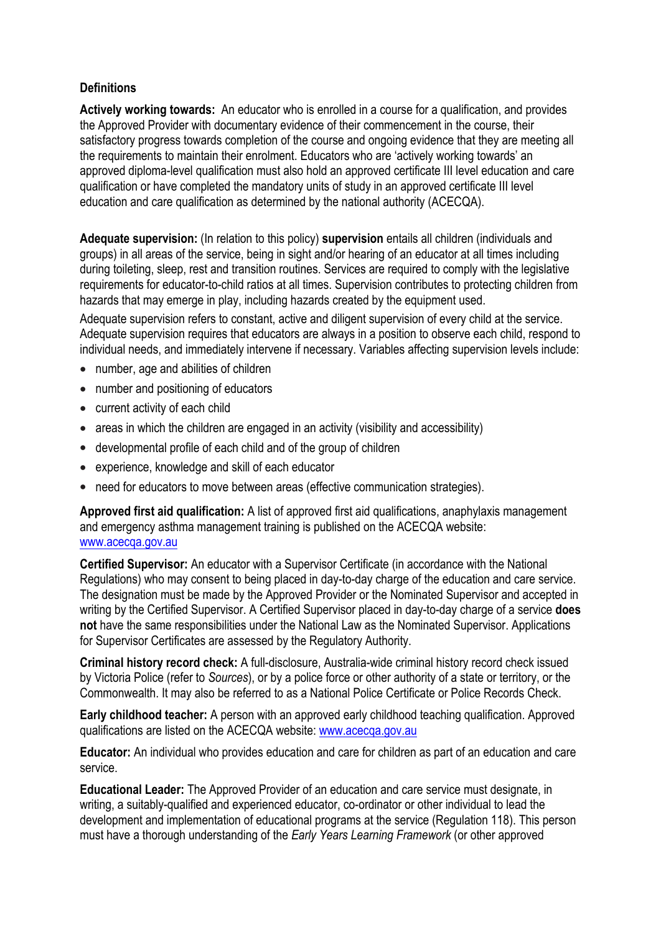## **Definitions**

**Actively working towards:** An educator who is enrolled in a course for a qualification, and provides the Approved Provider with documentary evidence of their commencement in the course, their satisfactory progress towards completion of the course and ongoing evidence that they are meeting all the requirements to maintain their enrolment. Educators who are 'actively working towards' an approved diploma-level qualification must also hold an approved certificate III level education and care qualification or have completed the mandatory units of study in an approved certificate III level education and care qualification as determined by the national authority (ACECQA).

**Adequate supervision:** (In relation to this policy) **supervision** entails all children (individuals and groups) in all areas of the service, being in sight and/or hearing of an educator at all times including during toileting, sleep, rest and transition routines. Services are required to comply with the legislative requirements for educator-to-child ratios at all times. Supervision contributes to protecting children from hazards that may emerge in play, including hazards created by the equipment used.

Adequate supervision refers to constant, active and diligent supervision of every child at the service. Adequate supervision requires that educators are always in a position to observe each child, respond to individual needs, and immediately intervene if necessary. Variables affecting supervision levels include:

- number, age and abilities of children
- number and positioning of educators
- current activity of each child
- areas in which the children are engaged in an activity (visibility and accessibility)
- developmental profile of each child and of the group of children
- experience, knowledge and skill of each educator
- need for educators to move between areas (effective communication strategies).

**Approved first aid qualification:** A list of approved first aid qualifications, anaphylaxis management and emergency asthma management training is published on the ACECQA website: [www.acecqa.gov.au](http://www.acecqa.gov.au)

**Certified Supervisor:** An educator with a Supervisor Certificate (in accordance with the National Regulations) who may consent to being placed in day-to-day charge of the education and care service. The designation must be made by the Approved Provider or the Nominated Supervisor and accepted in writing by the Certified Supervisor. A Certified Supervisor placed in day-to-day charge of a service **does not** have the same responsibilities under the National Law as the Nominated Supervisor. Applications for Supervisor Certificates are assessed by the Regulatory Authority.

**Criminal history record check:** A full-disclosure, Australia-wide criminal history record check issued by Victoria Police (refer to *Sources*), or by a police force or other authority of a state or territory, or the Commonwealth. It may also be referred to as a National Police Certificate or Police Records Check.

**Early childhood teacher:** A person with an approved early childhood teaching qualification. Approved qualifications are listed on the ACECQA website: [www.acecqa.gov.au](http://www.acecqa.gov.au)

**Educator:** An individual who provides education and care for children as part of an education and care service.

**Educational Leader:** The Approved Provider of an education and care service must designate, in writing, a suitably-qualified and experienced educator, co-ordinator or other individual to lead the development and implementation of educational programs at the service (Regulation 118). This person must have a thorough understanding of the *Early Years Learning Framework* (or other approved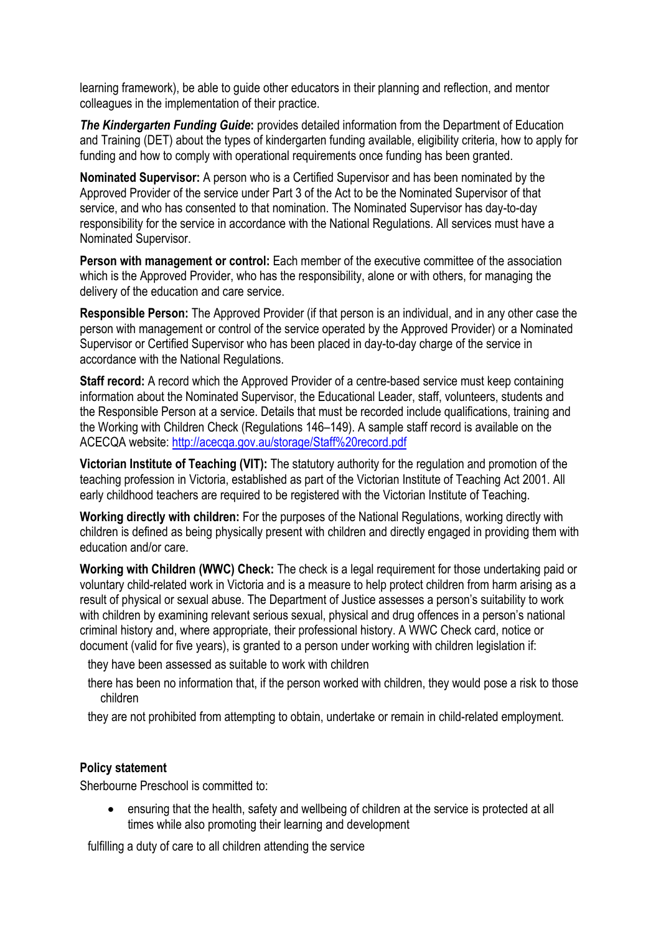learning framework), be able to guide other educators in their planning and reflection, and mentor colleagues in the implementation of their practice.

*The Kindergarten Funding Guide***:** provides detailed information from the Department of Education and Training (DET) about the types of kindergarten funding available, eligibility criteria, how to apply for funding and how to comply with operational requirements once funding has been granted.

**Nominated Supervisor:** A person who is a Certified Supervisor and has been nominated by the Approved Provider of the service under Part 3 of the Act to be the Nominated Supervisor of that service, and who has consented to that nomination. The Nominated Supervisor has day-to-day responsibility for the service in accordance with the National Regulations. All services must have a Nominated Supervisor.

**Person with management or control:** Each member of the executive committee of the association which is the Approved Provider, who has the responsibility, alone or with others, for managing the delivery of the education and care service.

**Responsible Person:** The Approved Provider (if that person is an individual, and in any other case the person with management or control of the service operated by the Approved Provider) or a Nominated Supervisor or Certified Supervisor who has been placed in day-to-day charge of the service in accordance with the National Regulations.

**Staff record:** A record which the Approved Provider of a centre-based service must keep containing information about the Nominated Supervisor, the Educational Leader, staff, volunteers, students and the Responsible Person at a service. Details that must be recorded include qualifications, training and the Working with Children Check (Regulations 146–149). A sample staff record is available on the ACECQA website:<http://acecqa.gov.au/storage/Staff%20record.pdf>

**Victorian Institute of Teaching (VIT):** The statutory authority for the regulation and promotion of the teaching profession in Victoria, established as part of the Victorian Institute of Teaching Act 2001. All early childhood teachers are required to be registered with the Victorian Institute of Teaching.

**Working directly with children:** For the purposes of the National Regulations, working directly with children is defined as being physically present with children and directly engaged in providing them with education and/or care.

**Working with Children (WWC) Check:** The check is a legal requirement for those undertaking paid or voluntary child-related work in Victoria and is a measure to help protect children from harm arising as a result of physical or sexual abuse. The Department of Justice assesses a person's suitability to work with children by examining relevant serious sexual, physical and drug offences in a person's national criminal history and, where appropriate, their professional history. A WWC Check card, notice or document (valid for five years), is granted to a person under working with children legislation if:

they have been assessed as suitable to work with children

there has been no information that, if the person worked with children, they would pose a risk to those children

they are not prohibited from attempting to obtain, undertake or remain in child-related employment.

#### **Policy statement**

Sherbourne Preschool is committed to:

 ensuring that the health, safety and wellbeing of children at the service is protected at all times while also promoting their learning and development

fulfilling a duty of care to all children attending the service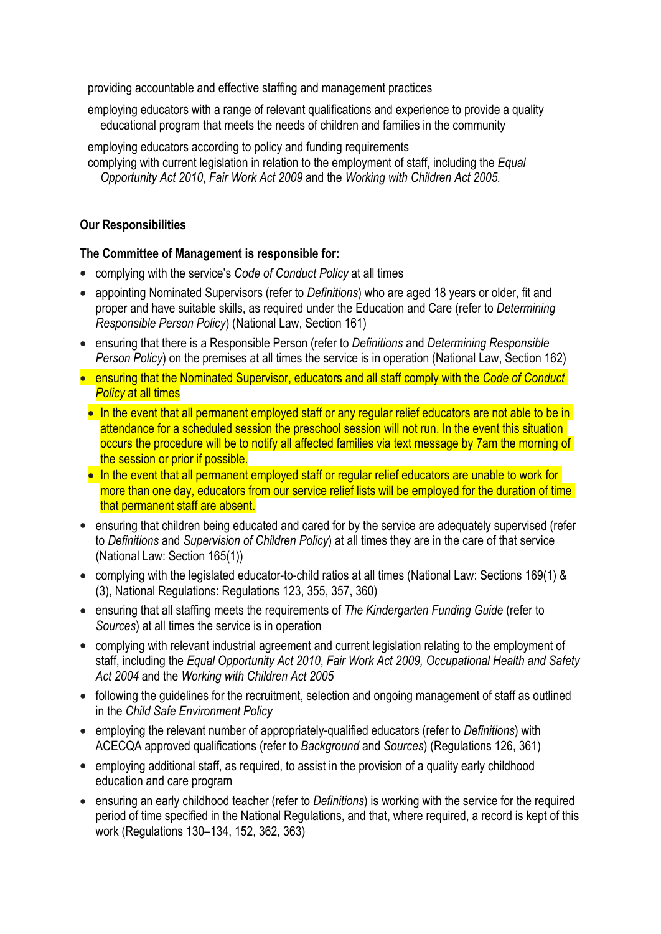providing accountable and effective staffing and management practices

employing educators with a range of relevant qualifications and experience to provide a quality educational program that meets the needs of children and families in the community

employing educators according to policy and funding requirements complying with current legislation in relation to the employment of staff, including the *Equal Opportunity Act 2010*, *Fair Work Act 2009* and the *Working with Children Act 2005.*

## **Our Responsibilities**

### **The Committee of Management is responsible for:**

- complying with the service's *Code of Conduct Policy* at all times
- appointing Nominated Supervisors (refer to *Definitions*) who are aged 18 years or older, fit and proper and have suitable skills, as required under the Education and Care (refer to *Determining Responsible Person Policy*) (National Law, Section 161)
- ensuring that there is a Responsible Person (refer to *Definitions* and *Determining Responsible Person Policy*) on the premises at all times the service is in operation (National Law, Section 162)
- ensuring that the Nominated Supervisor, educators and all staff comply with the *Code of Conduct Policy* at all times
- In the event that all permanent employed staff or any regular relief educators are not able to be in attendance for a scheduled session the preschool session will not run. In the event this situation occurs the procedure will be to notify all affected families via text message by 7am the morning of the session or prior if possible.
- In the event that all permanent employed staff or regular relief educators are unable to work for more than one day, educators from our service relief lists will be employed for the duration of time that permanent staff are absent.
- ensuring that children being educated and cared for by the service are adequately supervised (refer to *Definitions* and *Supervision of Children Policy*) at all times they are in the care of that service (National Law: Section 165(1))
- complying with the legislated educator-to-child ratios at all times (National Law: Sections 169(1) & (3), National Regulations: Regulations 123, 355, 357, 360)
- ensuring that all staffing meets the requirements of *The Kindergarten Funding Guide* (refer to *Sources*) at all times the service is in operation
- complying with relevant industrial agreement and current legislation relating to the employment of staff, including the *Equal Opportunity Act 2010*, *Fair Work Act 2009, Occupational Health and Safety Act 2004* and the *Working with Children Act 2005*
- following the guidelines for the recruitment, selection and ongoing management of staff as outlined in the *Child Safe Environment Policy*
- employing the relevant number of appropriately-qualified educators (refer to *Definitions*) with ACECQA approved qualifications (refer to *Background* and *Sources*) (Regulations 126, 361)
- employing additional staff, as required, to assist in the provision of a quality early childhood education and care program
- ensuring an early childhood teacher (refer to *Definitions*) is working with the service for the required period of time specified in the National Regulations, and that, where required, a record is kept of this work (Regulations 130–134, 152, 362, 363)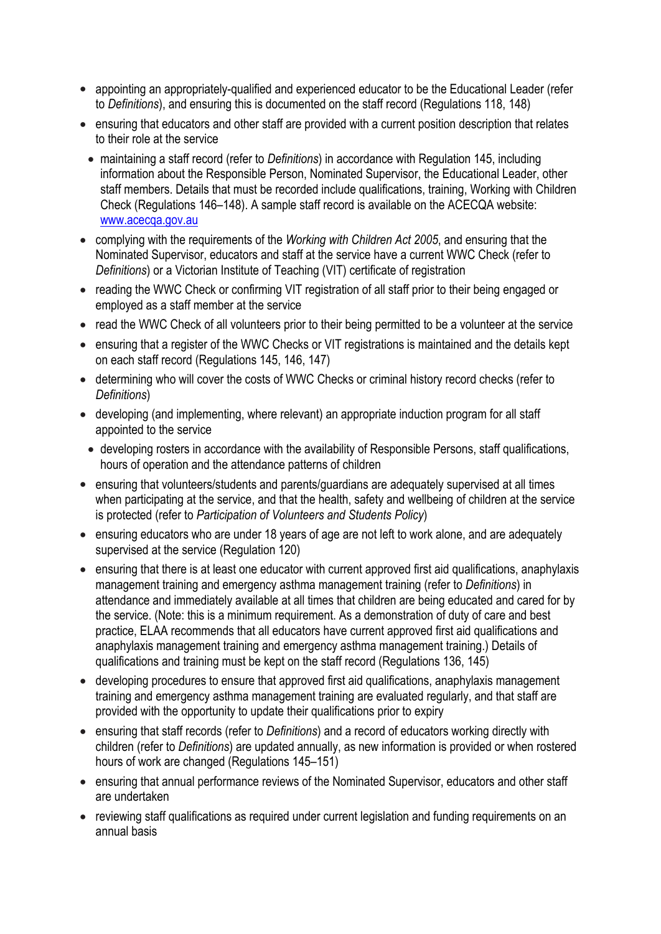- appointing an appropriately-qualified and experienced educator to be the Educational Leader (refer to *Definitions*), and ensuring this is documented on the staff record (Regulations 118, 148)
- ensuring that educators and other staff are provided with a current position description that relates to their role at the service
- maintaining a staff record (refer to *Definitions*) in accordance with Regulation 145, including information about the Responsible Person, Nominated Supervisor, the Educational Leader, other staff members. Details that must be recorded include qualifications, training, Working with Children Check (Regulations 146–148). A sample staff record is available on the ACECQA website: [www.acecqa.gov.au](http://www.acecqa.gov.au)
- complying with the requirements of the *Working with Children Act 2005*, and ensuring that the Nominated Supervisor, educators and staff at the service have a current WWC Check (refer to *Definitions*) or a Victorian Institute of Teaching (VIT) certificate of registration
- reading the WWC Check or confirming VIT registration of all staff prior to their being engaged or employed as a staff member at the service
- read the WWC Check of all volunteers prior to their being permitted to be a volunteer at the service
- ensuring that a register of the WWC Checks or VIT registrations is maintained and the details kept on each staff record (Regulations 145, 146, 147)
- determining who will cover the costs of WWC Checks or criminal history record checks (refer to *Definitions*)
- developing (and implementing, where relevant) an appropriate induction program for all staff appointed to the service
- developing rosters in accordance with the availability of Responsible Persons, staff qualifications, hours of operation and the attendance patterns of children
- ensuring that volunteers/students and parents/guardians are adequately supervised at all times when participating at the service, and that the health, safety and wellbeing of children at the service is protected (refer to *Participation of Volunteers and Students Policy*)
- ensuring educators who are under 18 years of age are not left to work alone, and are adequately supervised at the service (Regulation 120)
- ensuring that there is at least one educator with current approved first aid qualifications, anaphylaxis management training and emergency asthma management training (refer to *Definitions*) in attendance and immediately available at all times that children are being educated and cared for by the service. (Note: this is a minimum requirement. As a demonstration of duty of care and best practice, ELAA recommends that all educators have current approved first aid qualifications and anaphylaxis management training and emergency asthma management training.) Details of qualifications and training must be kept on the staff record (Regulations 136, 145)
- developing procedures to ensure that approved first aid qualifications, anaphylaxis management training and emergency asthma management training are evaluated regularly, and that staff are provided with the opportunity to update their qualifications prior to expiry
- ensuring that staff records (refer to *Definitions*) and a record of educators working directly with children (refer to *Definitions*) are updated annually, as new information is provided or when rostered hours of work are changed (Regulations 145–151)
- ensuring that annual performance reviews of the Nominated Supervisor, educators and other staff are undertaken
- reviewing staff qualifications as required under current legislation and funding requirements on an annual basis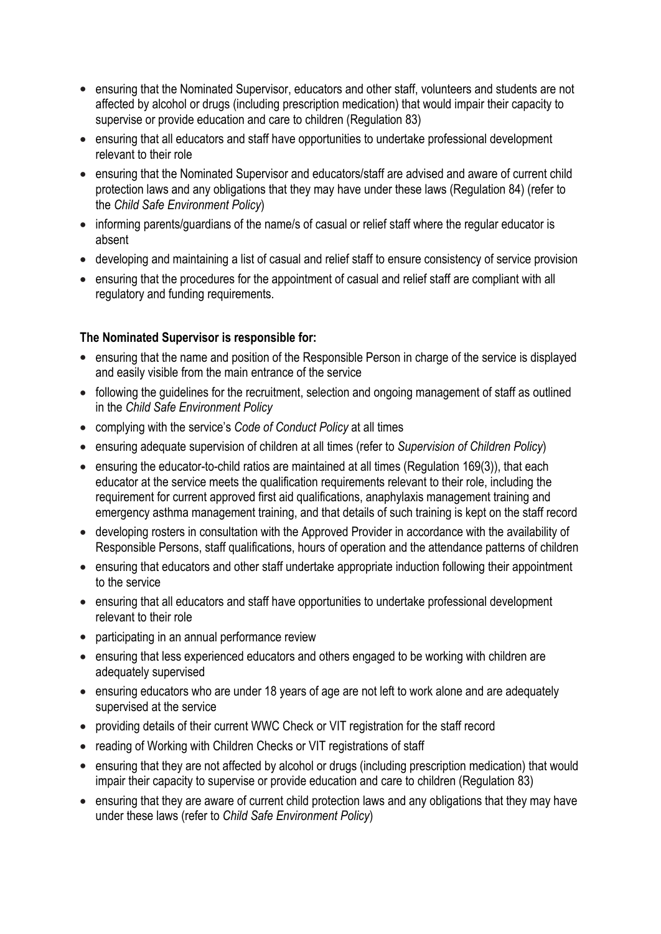- ensuring that the Nominated Supervisor, educators and other staff, volunteers and students are not affected by alcohol or drugs (including prescription medication) that would impair their capacity to supervise or provide education and care to children (Regulation 83)
- ensuring that all educators and staff have opportunities to undertake professional development relevant to their role
- ensuring that the Nominated Supervisor and educators/staff are advised and aware of current child protection laws and any obligations that they may have under these laws (Regulation 84) (refer to the *Child Safe Environment Policy*)
- informing parents/guardians of the name/s of casual or relief staff where the regular educator is absent
- developing and maintaining a list of casual and relief staff to ensure consistency of service provision
- ensuring that the procedures for the appointment of casual and relief staff are compliant with all regulatory and funding requirements.

## **The Nominated Supervisor is responsible for:**

- ensuring that the name and position of the Responsible Person in charge of the service is displayed and easily visible from the main entrance of the service
- following the guidelines for the recruitment, selection and ongoing management of staff as outlined in the *Child Safe Environment Policy*
- complying with the service's *Code of Conduct Policy* at all times
- ensuring adequate supervision of children at all times (refer to *Supervision of Children Policy*)
- ensuring the educator-to-child ratios are maintained at all times (Regulation 169(3)), that each educator at the service meets the qualification requirements relevant to their role, including the requirement for current approved first aid qualifications, anaphylaxis management training and emergency asthma management training, and that details of such training is kept on the staff record
- developing rosters in consultation with the Approved Provider in accordance with the availability of Responsible Persons, staff qualifications, hours of operation and the attendance patterns of children
- ensuring that educators and other staff undertake appropriate induction following their appointment to the service
- ensuring that all educators and staff have opportunities to undertake professional development relevant to their role
- participating in an annual performance review
- ensuring that less experienced educators and others engaged to be working with children are adequately supervised
- ensuring educators who are under 18 years of age are not left to work alone and are adequately supervised at the service
- providing details of their current WWC Check or VIT registration for the staff record
- reading of Working with Children Checks or VIT registrations of staff
- ensuring that they are not affected by alcohol or drugs (including prescription medication) that would impair their capacity to supervise or provide education and care to children (Regulation 83)
- ensuring that they are aware of current child protection laws and any obligations that they may have under these laws (refer to *Child Safe Environment Policy*)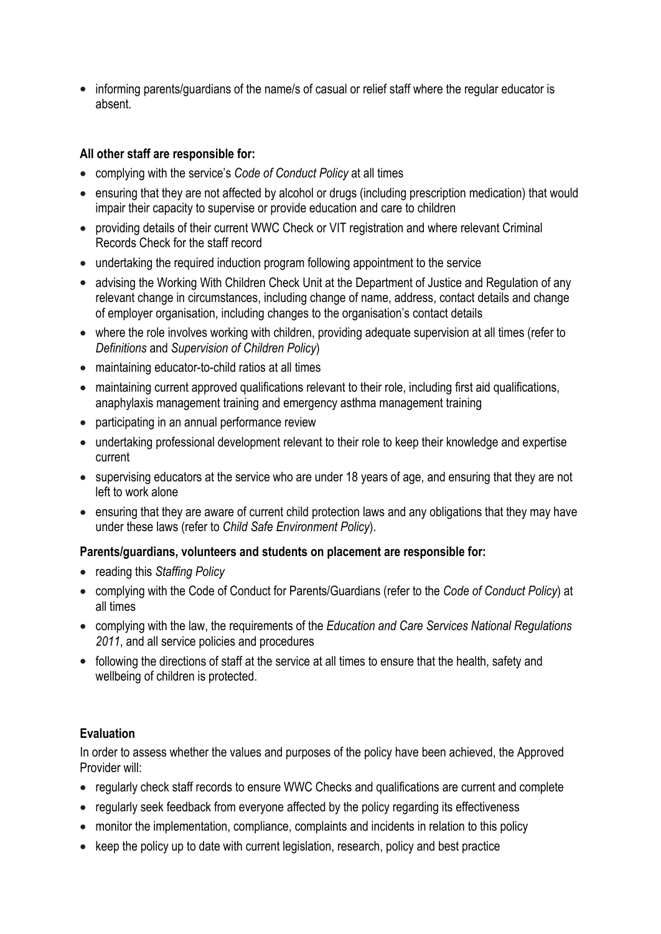• informing parents/guardians of the name/s of casual or relief staff where the regular educator is absent.

## **All other staff are responsible for:**

- complying with the service's *Code of Conduct Policy* at all times
- ensuring that they are not affected by alcohol or drugs (including prescription medication) that would impair their capacity to supervise or provide education and care to children
- providing details of their current WWC Check or VIT registration and where relevant Criminal Records Check for the staff record
- undertaking the required induction program following appointment to the service
- advising the Working With Children Check Unit at the Department of Justice and Regulation of any relevant change in circumstances, including change of name, address, contact details and change of employer organisation, including changes to the organisation's contact details
- where the role involves working with children, providing adequate supervision at all times (refer to *Definitions* and *Supervision of Children Policy*)
- maintaining educator-to-child ratios at all times
- maintaining current approved qualifications relevant to their role, including first aid qualifications, anaphylaxis management training and emergency asthma management training
- participating in an annual performance review
- undertaking professional development relevant to their role to keep their knowledge and expertise current
- supervising educators at the service who are under 18 years of age, and ensuring that they are not left to work alone
- ensuring that they are aware of current child protection laws and any obligations that they may have under these laws (refer to *Child Safe Environment Policy*).

# **Parents/guardians, volunteers and students on placement are responsible for:**

- reading this *Staffing Policy*
- complying with the Code of Conduct for Parents/Guardians (refer to the *Code of Conduct Policy*) at all times
- complying with the law, the requirements of the *Education and Care Services National Regulations 2011*, and all service policies and procedures
- following the directions of staff at the service at all times to ensure that the health, safety and wellbeing of children is protected.

# **Evaluation**

In order to assess whether the values and purposes of the policy have been achieved, the Approved Provider will:

- regularly check staff records to ensure WWC Checks and qualifications are current and complete
- regularly seek feedback from everyone affected by the policy regarding its effectiveness
- monitor the implementation, compliance, complaints and incidents in relation to this policy
- keep the policy up to date with current legislation, research, policy and best practice